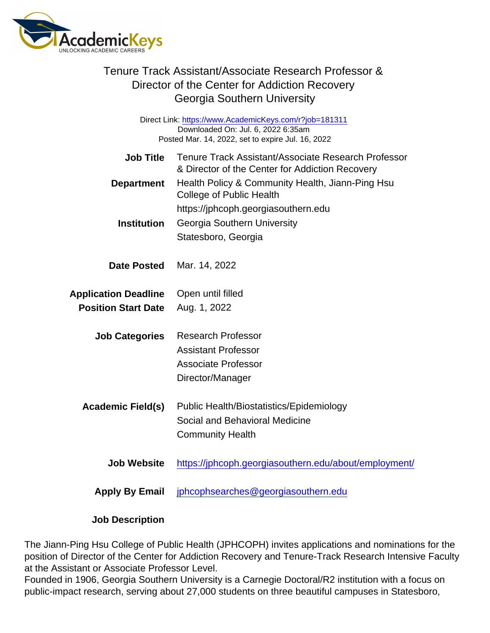|                                                                                                                                                   | Tenure Track Assistant/Associate Research Professor &<br>Director of the Center for Addiction Recovery<br>Georgia Southern University |  |
|---------------------------------------------------------------------------------------------------------------------------------------------------|---------------------------------------------------------------------------------------------------------------------------------------|--|
| Direct Link: https://www.AcademicKeys.com/r?job=181311<br>Downloaded On: Jul. 6, 2022 6:35am<br>Posted Mar. 14, 2022, set to expire Jul. 16, 2022 |                                                                                                                                       |  |
| <b>Job Title</b>                                                                                                                                  | Tenure Track Assistant/Associate Research Professor<br>& Director of the Center for Addiction Recovery                                |  |
| Department                                                                                                                                        | Health Policy & Community Health, Jiann-Ping Hsu<br><b>College of Public Health</b>                                                   |  |
|                                                                                                                                                   | https://jphcoph.georgiasouthern.edu                                                                                                   |  |
| Institution                                                                                                                                       | Georgia Southern University                                                                                                           |  |
|                                                                                                                                                   | Statesboro, Georgia                                                                                                                   |  |
| Date Posted                                                                                                                                       | Mar. 14, 2022                                                                                                                         |  |
| <b>Application Deadline</b>                                                                                                                       | Open until filled                                                                                                                     |  |
| <b>Position Start Date</b>                                                                                                                        | Aug. 1, 2022                                                                                                                          |  |
| <b>Job Categories</b>                                                                                                                             | <b>Research Professor</b>                                                                                                             |  |
|                                                                                                                                                   | <b>Assistant Professor</b>                                                                                                            |  |
|                                                                                                                                                   | <b>Associate Professor</b>                                                                                                            |  |
|                                                                                                                                                   | Director/Manager                                                                                                                      |  |
| Academic Field(s)                                                                                                                                 | Public Health/Biostatistics/Epidemiology                                                                                              |  |
|                                                                                                                                                   | Social and Behavioral Medicine                                                                                                        |  |
|                                                                                                                                                   | <b>Community Health</b>                                                                                                               |  |
| <b>Job Website</b>                                                                                                                                | https://jphcoph.georgiasouthern.edu/about/employment/                                                                                 |  |
| Apply By Email                                                                                                                                    | jphcophsearches@georgiasouthern.edu                                                                                                   |  |
|                                                                                                                                                   |                                                                                                                                       |  |

Job Description

The Jiann-Ping Hsu College of Public Health (JPHCOPH) invites applications and nominations for the position of Director of the Center for Addiction Recovery and Tenure-Track Research Intensive Faculty at the Assistant or Associate Professor Level.

Founded in 1906, Georgia Southern University is a Carnegie Doctoral/R2 institution with a focus on public-impact research, serving about 27,000 students on three beautiful campuses in Statesboro,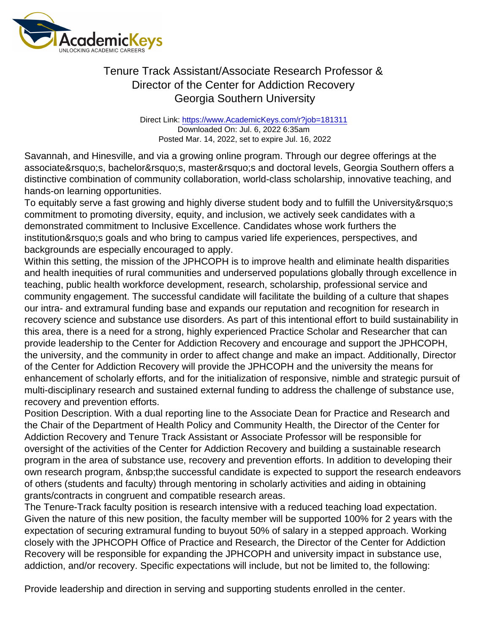Direct Link: <https://www.AcademicKeys.com/r?job=181311> Downloaded On: Jul. 6, 2022 6:35am Posted Mar. 14, 2022, set to expire Jul. 16, 2022

Savannah, and Hinesville, and via a growing online program. Through our degree offerings at the associate's, bachelor's, master's and doctoral levels, Georgia Southern offers a distinctive combination of community collaboration, world-class scholarship, innovative teaching, and hands-on learning opportunities.

To equitably serve a fast growing and highly diverse student body and to fulfill the University' s commitment to promoting diversity, equity, and inclusion, we actively seek candidates with a demonstrated commitment to Inclusive Excellence. Candidates whose work furthers the institution's goals and who bring to campus varied life experiences, perspectives, and backgrounds are especially encouraged to apply.

Within this setting, the mission of the JPHCOPH is to improve health and eliminate health disparities and health inequities of rural communities and underserved populations globally through excellence in teaching, public health workforce development, research, scholarship, professional service and community engagement. The successful candidate will facilitate the building of a culture that shapes our intra- and extramural funding base and expands our reputation and recognition for research in recovery science and substance use disorders. As part of this intentional effort to build sustainability in this area, there is a need for a strong, highly experienced Practice Scholar and Researcher that can provide leadership to the Center for Addiction Recovery and encourage and support the JPHCOPH, the university, and the community in order to affect change and make an impact. Additionally, Director of the Center for Addiction Recovery will provide the JPHCOPH and the university the means for enhancement of scholarly efforts, and for the initialization of responsive, nimble and strategic pursuit of multi-disciplinary research and sustained external funding to address the challenge of substance use, recovery and prevention efforts.

Position Description. With a dual reporting line to the Associate Dean for Practice and Research and the Chair of the Department of Health Policy and Community Health, the Director of the Center for Addiction Recovery and Tenure Track Assistant or Associate Professor will be responsible for oversight of the activities of the Center for Addiction Recovery and building a sustainable research program in the area of substance use, recovery and prevention efforts. In addition to developing their own research program, the successful candidate is expected to support the research endeavors of others (students and faculty) through mentoring in scholarly activities and aiding in obtaining grants/contracts in congruent and compatible research areas.

The Tenure-Track faculty position is research intensive with a reduced teaching load expectation. Given the nature of this new position, the faculty member will be supported 100% for 2 years with the expectation of securing extramural funding to buyout 50% of salary in a stepped approach. Working closely with the JPHCOPH Office of Practice and Research, the Director of the Center for Addiction Recovery will be responsible for expanding the JPHCOPH and university impact in substance use, addiction, and/or recovery. Specific expectations will include, but not be limited to, the following:

Provide leadership and direction in serving and supporting students enrolled in the center.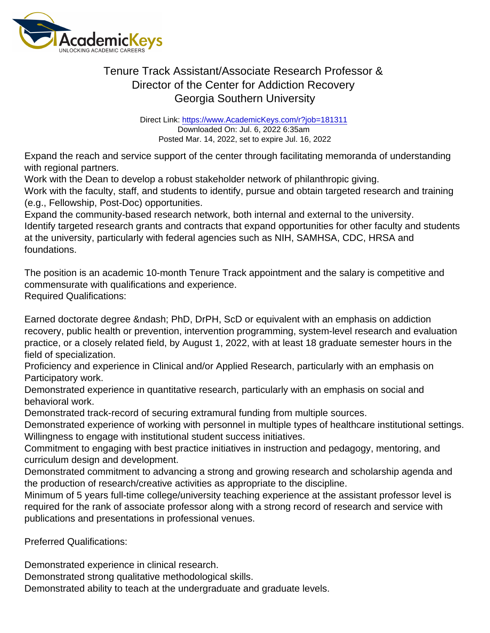Direct Link: <https://www.AcademicKeys.com/r?job=181311> Downloaded On: Jul. 6, 2022 6:35am Posted Mar. 14, 2022, set to expire Jul. 16, 2022

Expand the reach and service support of the center through facilitating memoranda of understanding with regional partners.

Work with the Dean to develop a robust stakeholder network of philanthropic giving.

Work with the faculty, staff, and students to identify, pursue and obtain targeted research and training (e.g., Fellowship, Post-Doc) opportunities.

Expand the community-based research network, both internal and external to the university. Identify targeted research grants and contracts that expand opportunities for other faculty and students at the university, particularly with federal agencies such as NIH, SAMHSA, CDC, HRSA and foundations.

The position is an academic 10-month Tenure Track appointment and the salary is competitive and commensurate with qualifications and experience. Required Qualifications:

Earned doctorate degree & ndash; PhD, DrPH, ScD or equivalent with an emphasis on addiction recovery, public health or prevention, intervention programming, system-level research and evaluation practice, or a closely related field, by August 1, 2022, with at least 18 graduate semester hours in the field of specialization.

Proficiency and experience in Clinical and/or Applied Research, particularly with an emphasis on Participatory work.

Demonstrated experience in quantitative research, particularly with an emphasis on social and behavioral work.

Demonstrated track-record of securing extramural funding from multiple sources.

Demonstrated experience of working with personnel in multiple types of healthcare institutional settings. Willingness to engage with institutional student success initiatives.

Commitment to engaging with best practice initiatives in instruction and pedagogy, mentoring, and curriculum design and development.

Demonstrated commitment to advancing a strong and growing research and scholarship agenda and the production of research/creative activities as appropriate to the discipline.

Minimum of 5 years full-time college/university teaching experience at the assistant professor level is required for the rank of associate professor along with a strong record of research and service with publications and presentations in professional venues.

Preferred Qualifications:

Demonstrated experience in clinical research.

Demonstrated strong qualitative methodological skills.

Demonstrated ability to teach at the undergraduate and graduate levels.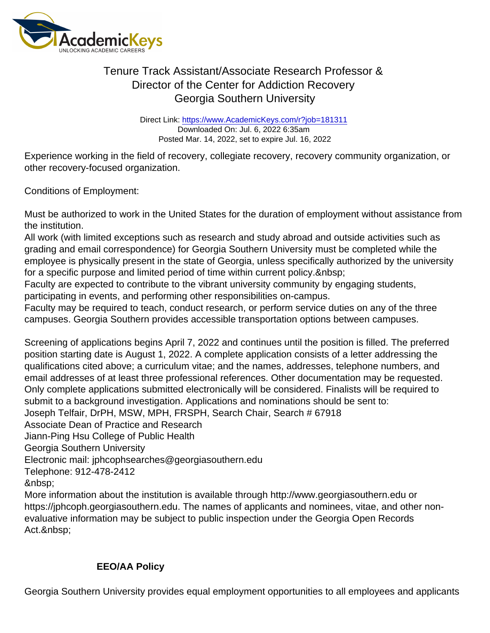Direct Link: <https://www.AcademicKeys.com/r?job=181311> Downloaded On: Jul. 6, 2022 6:35am Posted Mar. 14, 2022, set to expire Jul. 16, 2022

Experience working in the field of recovery, collegiate recovery, recovery community organization, or other recovery-focused organization.

Conditions of Employment:

Must be authorized to work in the United States for the duration of employment without assistance from the institution.

All work (with limited exceptions such as research and study abroad and outside activities such as grading and email correspondence) for Georgia Southern University must be completed while the employee is physically present in the state of Georgia, unless specifically authorized by the university for a specific purpose and limited period of time within current policy.

Faculty are expected to contribute to the vibrant university community by engaging students, participating in events, and performing other responsibilities on-campus.

Faculty may be required to teach, conduct research, or perform service duties on any of the three campuses. Georgia Southern provides accessible transportation options between campuses.

Screening of applications begins April 7, 2022 and continues until the position is filled. The preferred position starting date is August 1, 2022. A complete application consists of a letter addressing the qualifications cited above; a curriculum vitae; and the names, addresses, telephone numbers, and email addresses of at least three professional references. Other documentation may be requested. Only complete applications submitted electronically will be considered. Finalists will be required to submit to a background investigation. Applications and nominations should be sent to: Joseph Telfair, DrPH, MSW, MPH, FRSPH, Search Chair, Search # 67918 Associate Dean of Practice and Research Jiann-Ping Hsu College of Public Health Georgia Southern University Electronic mail: jphcophsearches@georgiasouthern.edu Telephone: 912-478-2412 

More information about the institution is available through http://www.georgiasouthern.edu or https://jphcoph.georgiasouthern.edu. The names of applicants and nominees, vitae, and other nonevaluative information may be subject to public inspection under the Georgia Open Records Act.

#### EEO/AA Policy

Georgia Southern University provides equal employment opportunities to all employees and applicants